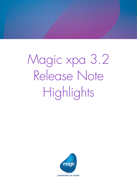Magic xpa 3.2 Release Note Highlights

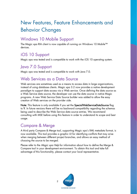# New Features, Feature Enhancements and Behavior Changes

# Windows 10 Mobile Support

The Magic xpa RIA client is now capable of running on Windows 10 Mobile™ devices.

# iOS 10 Support

Magic xpa was tested and is compatible to work with the iOS 10 operating system.

### Java 7.0 Support

Magic xpa was tested and is compatible to work with Java 7.0.

# Web Services as a Data Source

Web services are sometimes used as a means to access data in large organizations, instead of using database clients. Magic xpa 3.2 now provides a native development paradigm to support data access via a Web service. Once defining the data source as a Web Service data source, the developer can use the data source in native Magic programs. A new Web Service Data Source builder was added to allow the easy creation of Web services on the provider side.

Note: This feature is only available if you set the SpecialWebServiceDataSource flag to Y. In future versions there will be no backward compatibility regarding the schemas being used to describe the Web Service data source entries. We recommend consulting with MSE before using this feature in order to understand its scope and best usage.

### Compare & Merge

A third party Compare & Merge tool, supporting Magic xpa's XML metadata format, is now available. This tool provides a graphic UI for identifying conflicts that may arise when merging between different project branches, and allows an easy method of choosing the source to be merged.

Please refer to the *Magic xpa Help* for information about how to define the Merge & Compare tool in your development environment. To obtain this tool and take full advantage of this functionality, please contact your local representative.

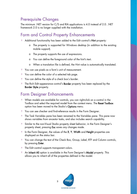### Prerequisite Changes

The minimum .NET version for C/S and RIA applications is 4.0 instead of 2.0. .NET framework 2.0 is no longer supplied with the installation.

# Form and Control Property Enhancements

- <sup>o</sup> Additional functionality has been added to the Edit control's Hint property:
	- o The property is supported for Windows desktop (in addition to the existing mobile support).
	- o The property supports the use of expressions.
	- o You can define the foreground color of the hint's text.
	- o When a translation file is defined, the Hint value is automatically translated.
- You can use pixels as a form's unit of measurement.
- You can define the color of a selected tab page.  $\bullet$
- You can define the style of a check box's border.  $\bullet$
- The Rich Edit appearance control's Border property has been replaced by the  $\bullet$ Border Style property.

#### Form Designer Enhancements

- When models are available for controls, you can right-click on a control in the Toolbox and select the required model from the context menu. The Reset Toolbox option has been moved to the Studio's Options menu.
- **2** You can see checker and find-reference results in the Form Designer.
- The Task Variables pane has been renamed to the Variables pane. This pane now shows variables from ancestor tasks, and also includes search capability.
- Similar to the non-Visual Studio property sheet behavior, in the Form Designer's property sheet, pressing Esc saves any changes made.
- In the Form Designer, the values of the X, Y, Width and Height properties are  $\bullet$ displayed on the status bar.
- You can change the text of the Check Box, Group, Label, RTF and Column controls, by pressing **Enter**.
- $\degree$  The Edit control supports transparent colors.
- <sup>2</sup> An Inherit All option is available in the Form Designer's Model property. This allows you to inherit all of the properties defined in the model.

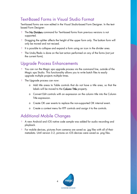### Text-Based Forms in Visual Studio Format

Text-based forms are now edited in the Visual Studio-based Form Designer. In the textbased Form Designer:

- $\bullet$ The No Dividers command for Text-based forms from previous versions is not supported.
- Dragging the splitter affects the height of the upper form only. The bottom form will only be moved and not resized.
- $\bullet$ It is possible to collapse and expand a form using an icon in the divider area.
- $\bullet$ The Undo/Redo is done on the last action performed on any of the forms (not just the current form).

# Upgrade Process Enhancements

- You can run the Magic xpa upgrade process via the command line, outside of the Magic xpa Studio. This functionality allows you to write batch files to easily upgrade multiple projects multiple times.
- **P** The Upgrade process can now:
	- o Add title areas to Table controls that do not have a title area, so that the labels will be moved to the Column Title property.
	- o Convert Edit controls with an expression on the column title into the Column Title expression.
	- o Create OK user events to replace the non-supported OK internal event.
	- o Create a context menu for RTF controls and assign it to the controls.

# Additional Mobile Changes

- A new Android and iOS native code sample was added for audio recording and playback.
- For mobile devices, pictures from cameras are saved as .jpg files with all of their metadata. Until version 3.2, pictures on iOS devices were saved as .png files.

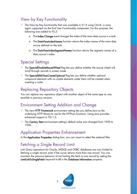# View by Key Functionality

- The View by Key functionality that was available in V1.9 using Ctrl+K, is once again supported via the End User Functionality component. For this purpose, the following was added to V3.2:
	- o The Index Change event changes the index of the main data source in a task.
	- $\circ$  The DataViewIndexNames function returns the index names of the main data source defined on the task.
	- o The DataViewIndexSegmentNames function returns the segment names of a data source's index.

## Special Settings

- The SpecialDisableMouseWheel flag lets you define whether the mouse wheel will scroll through records in screen mode.
- $\bullet$ The SpecialXMLViewCreateOptional flag lets you define whether optional compound elements with no simple elements under them will be created when inserting a node.

# Replacing Repository Objects

You can replace any repository object with another object of the same type as was possible in previous versions.

### Environment Setting Addition and Change

- The new HTTP Framework environment setting lets you define Java as the  $\bullet$ underlying HTTP library to use for the HTTPxxx functions. Using Java provides enhanced support in TLS 1.2.
- The Century Start environment setting's default value was changed from 1920 to 1930.

### Application Properties Enhancement

In the Application Properties dialog box, you can zoom to select the external files.

# Fetching a Single Record Limit

Link Query operations for Oracle, MSSQL and ODBC databases are now limited to fetching a single record, even if the cursor returns more than one record. You can maintain the previous behavior of not limiting the fetch to one record by setting the LimitLinkToSingleFetch keyword to N in the Database Information property.

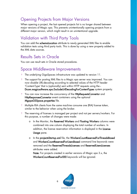# Opening Projects from Major Versions

When opening a project, the last opened projects list is no longer shared between major versions of Magic xpa. This prevents unintentionally opening projects from a different major version, which might result in an unintentional upgrade.

# Validation with Third Party Tools

You can add the schemaLocation attribute to newly generated XML files to enable validation tests using third party tools. This is done by using a new property added to the XML data sources.

#### Results Sets in Oracle

You can use result sets in Oracle stored procedures.

#### Space Middleware Improvements

- The underlying GigaSpaces infrastructure was updated to version 11.
- The support for posting XML files to a Magic xpa server was improved. You can now disable URL-decoding according to selected values of the HTTP header 'Content-Type' that is (optionally) sent within HTTP requests using the - Dcom.magicsoftware.xpa.ExcludeUrlDecodingForContentTypes system property.
- **2** You can now increase the concurrency of the HttpRequestsConvertor and HttpResponsesConvertor event containers using the optional MgxpaGSSpace.properties file.
- **2** Multiple RIA clients from the same machine consume one (RIA) license token, similar to the behavior when using the broker.
- The reserving of licenses is managed per project and not per servers/workers. For this purpose, a number of changes were made:
	- o In the Monitor, the Reserved Workers and Floating Workers columns were combined into one column displaying the total number of workers. In addition, the license reservation information is displayed in the License Usage pane.
	- o In the projectsStartup.xml file, the WorkersCountReservedForThreadsBased and WorkersCountReservedForUsersBased command line keywords were removed and the ReservedThreadsLicenses and ReservedUsersLicenses attributes were added.

Note: For projects created in earlier versions of Magic xpa 3.x, the WorkersCountReservedForXXX keywords will be ignored.

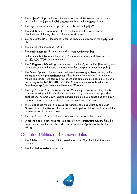- <sup>2</sup> The projectsStartup.xml file was improved and repetitive values can be defined once in the new (optional) CMDLineArgs attribute in the Projects element.
- $\bullet$ The log4j infrastructure was updated and is based on log4j V2.5.
- The host ID and PID were added to the log file names to provide easier identification of the log files in a clustered environment.
- $\bullet$ You can set the BASIC logging level for the Space middleware in the log4j2.xml file.
- $\bullet$ The log file will not exceed 10MB.
- **2** The StopProjects.bat file was renamed to ShutdownProjects.bat.
- $\bullet$ In the setenv.bat file, a number of GigaSpaces environment variables, such as LOOKUPLOCATORS, were renamed.
- The PollingIntervalMs setting was removed from the Mgreq.ini file. (The setting was redundant because the Web requester waits for a response rather than polls.)
- <sup>2</sup> The Default Space option was removed from the MessagingServer setting in the Magic.ini and the projectsStartup.xml files. Starting from version 3.2, when a Magic xpa server is started by a GS agent, it is automatically directed to the grid according to the XAP\_LOOKUP\_LOCATORS environment variable set in the GigaSpaces-xpa\bin\setenv.bat file of that GS agent.
- <sup>o</sup> The GigaSpaces Monitor's Restart Project Gracefully option lets existing clients continue working, while new clients are immediately able to use the upgraded application. The Shut Down Pausing Servers option lets you pause and shut down a physical server, to be used before a server machine is shut down.
- <sup>2</sup> The GigaSpaces Monitor's Requests log window contains Client ID and User Name columns. The Status column now has a drop-down list to enable you to filter requests according to their status.
- **The GigaSpaces Monitor's Contexts** window contains a Status column.
- <sup>o</sup> When starting projects using the GS-agent (from the **projectsStartup.xml** file), the project name is automatically used as the value of the ApplicationPublicName setting.

# Outdated Utilities and Removed Files

- The Builder Data Converter, INI Conversion and v9 Migration UI utilities were removed.
- **The Scripts\RIA folder** was removed.